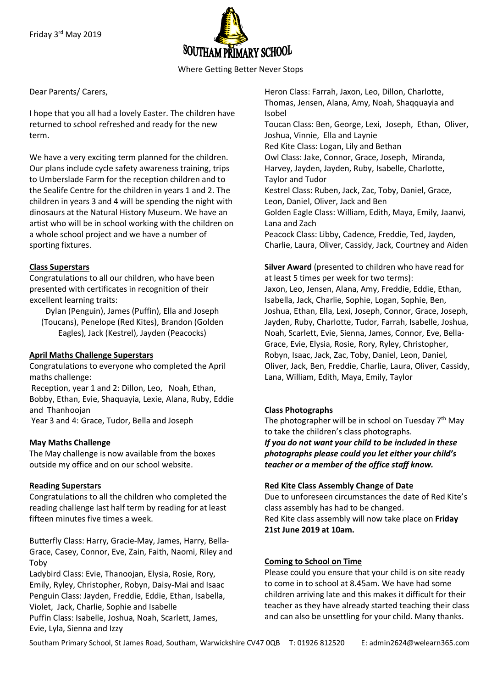

Where Getting Better Never Stops

Dear Parents/ Carers,

I hope that you all had a lovely Easter. The children have returned to school refreshed and ready for the new term.

We have a very exciting term planned for the children. Our plans include cycle safety awareness training, trips to Umberslade Farm for the reception children and to the Sealife Centre for the children in years 1 and 2. The children in years 3 and 4 will be spending the night with dinosaurs at the Natural History Museum. We have an artist who will be in school working with the children on a whole school project and we have a number of sporting fixtures.

## **Class Superstars**

Congratulations to all our children, who have been presented with certificates in recognition of their excellent learning traits:

Dylan (Penguin), James (Puffin), Ella and Joseph (Toucans), Penelope (Red Kites), Brandon (Golden Eagles), Jack (Kestrel), Jayden (Peacocks)

## **April Maths Challenge Superstars**

Congratulations to everyone who completed the April maths challenge: Reception, year 1 and 2: Dillon, Leo, Noah, Ethan, Bobby, Ethan, Evie, Shaquayia, Lexie, Alana, Ruby, Eddie and Thanhoojan

Year 3 and 4: Grace, Tudor, Bella and Joseph

## **May Maths Challenge**

The May challenge is now available from the boxes outside my office and on our school website.

## **Reading Superstars**

Congratulations to all the children who completed the reading challenge last half term by reading for at least fifteen minutes five times a week.

Butterfly Class: Harry, Gracie-May, James, Harry, Bella-Grace, Casey, Connor, Eve, Zain, Faith, Naomi, Riley and Toby

Ladybird Class: Evie, Thanoojan, Elysia, Rosie, Rory, Emily, Ryley, Christopher, Robyn, Daisy-Mai and Isaac Penguin Class: Jayden, Freddie, Eddie, Ethan, Isabella, Violet, Jack, Charlie, Sophie and Isabelle Puffin Class: Isabelle, Joshua, Noah, Scarlett, James, Evie, Lyla, Sienna and Izzy

Heron Class: Farrah, Jaxon, Leo, Dillon, Charlotte, Thomas, Jensen, Alana, Amy, Noah, Shaqquayia and Isobel Toucan Class: Ben, George, Lexi, Joseph, Ethan, Oliver, Joshua, Vinnie, Ella and Laynie Red Kite Class: Logan, Lily and Bethan Owl Class: Jake, Connor, Grace, Joseph, Miranda, Harvey, Jayden, Jayden, Ruby, Isabelle, Charlotte, Taylor and Tudor Kestrel Class: Ruben, Jack, Zac, Toby, Daniel, Grace, Leon, Daniel, Oliver, Jack and Ben Golden Eagle Class: William, Edith, Maya, Emily, Jaanvi, Lana and Zach Peacock Class: Libby, Cadence, Freddie, Ted, Jayden, Charlie, Laura, Oliver, Cassidy, Jack, Courtney and Aiden

**Silver Award** (presented to children who have read for at least 5 times per week for two terms):

Jaxon, Leo, Jensen, Alana, Amy, Freddie, Eddie, Ethan, Isabella, Jack, Charlie, Sophie, Logan, Sophie, Ben, Joshua, Ethan, Ella, Lexi, Joseph, Connor, Grace, Joseph, Jayden, Ruby, Charlotte, Tudor, Farrah, Isabelle, Joshua, Noah, Scarlett, Evie, Sienna, James, Connor, Eve, Bella-Grace, Evie, Elysia, Rosie, Rory, Ryley, Christopher, Robyn, Isaac, Jack, Zac, Toby, Daniel, Leon, Daniel, Oliver, Jack, Ben, Freddie, Charlie, Laura, Oliver, Cassidy, Lana, William, Edith, Maya, Emily, Taylor

## **Class Photographs**

The photographer will be in school on Tuesday 7<sup>th</sup> May to take the children's class photographs.

*If you do not want your child to be included in these photographs please could you let either your child's teacher or a member of the office staff know.*

### **Red Kite Class Assembly Change of Date**

Due to unforeseen circumstances the date of Red Kite's class assembly has had to be changed. Red Kite class assembly will now take place on **Friday 21st June 2019 at 10am.**

### **Coming to School on Time**

Please could you ensure that your child is on site ready to come in to school at 8.45am. We have had some children arriving late and this makes it difficult for their teacher as they have already started teaching their class and can also be unsettling for your child. Many thanks.

Southam Primary School, St James Road, Southam, Warwickshire CV47 0QB T: 01926 812520 E: admin2624@welearn365.com